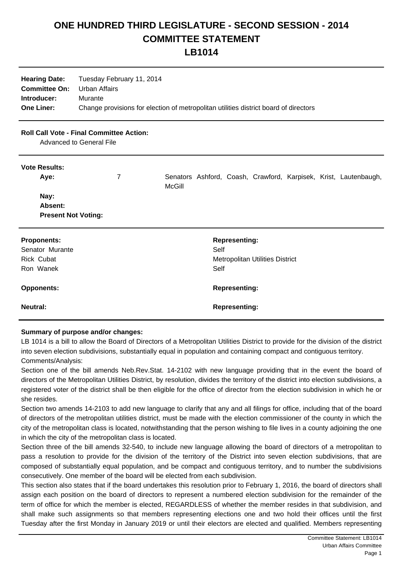## **ONE HUNDRED THIRD LEGISLATURE - SECOND SESSION - 2014 COMMITTEE STATEMENT**

**LB1014**

| <b>Hearing Date:</b>               | Tuesday February 11, 2014                                                            |
|------------------------------------|--------------------------------------------------------------------------------------|
| <b>Committee On:</b> Urban Affairs |                                                                                      |
| Introducer:                        | Murante                                                                              |
| <b>One Liner:</b>                  | Change provisions for election of metropolitan utilities district board of directors |

## **Roll Call Vote - Final Committee Action:**

Advanced to General File

## **Vote Results:**

| Aye:                       | 7 | McGill |                                        |                      |  |  |  | Senators Ashford, Coash, Crawford, Karpisek, Krist, Lautenbaugh, |  |
|----------------------------|---|--------|----------------------------------------|----------------------|--|--|--|------------------------------------------------------------------|--|
| Nay:                       |   |        |                                        |                      |  |  |  |                                                                  |  |
| Absent:                    |   |        |                                        |                      |  |  |  |                                                                  |  |
| <b>Present Not Voting:</b> |   |        |                                        |                      |  |  |  |                                                                  |  |
| <b>Proponents:</b>         |   |        |                                        | <b>Representing:</b> |  |  |  |                                                                  |  |
| Senator Murante            |   |        | Self                                   |                      |  |  |  |                                                                  |  |
| <b>Rick Cubat</b>          |   |        | <b>Metropolitan Utilities District</b> |                      |  |  |  |                                                                  |  |
| Ron Wanek                  |   |        | Self                                   |                      |  |  |  |                                                                  |  |
| <b>Opponents:</b>          |   |        |                                        | <b>Representing:</b> |  |  |  |                                                                  |  |
| <b>Neutral:</b>            |   |        |                                        | <b>Representing:</b> |  |  |  |                                                                  |  |
|                            |   |        |                                        |                      |  |  |  |                                                                  |  |

## **Summary of purpose and/or changes:**

LB 1014 is a bill to allow the Board of Directors of a Metropolitan Utilities District to provide for the division of the district into seven election subdivisions, substantially equal in population and containing compact and contiguous territory. Comments/Analysis:

Section one of the bill amends Neb.Rev.Stat. 14-2102 with new language providing that in the event the board of directors of the Metropolitan Utilities District, by resolution, divides the territory of the district into election subdivisions, a registered voter of the district shall be then eligible for the office of director from the election subdivision in which he or she resides.

Section two amends 14-2103 to add new language to clarify that any and all filings for office, including that of the board of directors of the metropolitan utilities district, must be made with the election commissioner of the county in which the city of the metropolitan class is located, notwithstanding that the person wishing to file lives in a county adjoining the one in which the city of the metropolitan class is located.

Section three of the bill amends 32-540, to include new language allowing the board of directors of a metropolitan to pass a resolution to provide for the division of the territory of the District into seven election subdivisions, that are composed of substantially equal population, and be compact and contiguous territory, and to number the subdivisions consecutively. One member of the board will be elected from each subdivision.

This section also states that if the board undertakes this resolution prior to February 1, 2016, the board of directors shall assign each position on the board of directors to represent a numbered election subdivision for the remainder of the term of office for which the member is elected, REGARDLESS of whether the member resides in that subdivision, and shall make such assignments so that members representing elections one and two hold their offices until the first Tuesday after the first Monday in January 2019 or until their electors are elected and qualified. Members representing